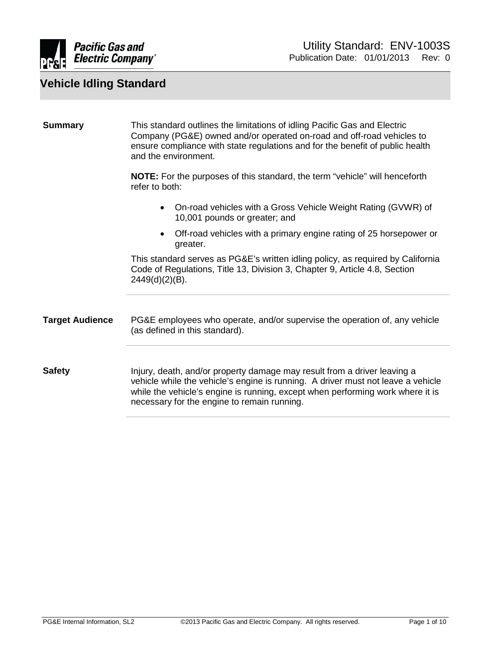

<span id="page-0-2"></span><span id="page-0-1"></span><span id="page-0-0"></span>

| <b>Summary</b>         | This standard outlines the limitations of idling Pacific Gas and Electric<br>Company (PG&E) owned and/or operated on-road and off-road vehicles to<br>ensure compliance with state regulations and for the benefit of public health<br>and the environment.                                   |  |
|------------------------|-----------------------------------------------------------------------------------------------------------------------------------------------------------------------------------------------------------------------------------------------------------------------------------------------|--|
|                        | <b>NOTE:</b> For the purposes of this standard, the term "vehicle" will henceforth<br>refer to both:                                                                                                                                                                                          |  |
|                        | On-road vehicles with a Gross Vehicle Weight Rating (GVWR) of<br>$\bullet$<br>10,001 pounds or greater; and                                                                                                                                                                                   |  |
|                        | Off-road vehicles with a primary engine rating of 25 horsepower or<br>$\bullet$<br>greater.                                                                                                                                                                                                   |  |
|                        | This standard serves as PG&E's written idling policy, as required by California<br>Code of Regulations, Title 13, Division 3, Chapter 9, Article 4.8, Section<br>$2449(d)(2)(B)$ .                                                                                                            |  |
| <b>Target Audience</b> | PG&E employees who operate, and/or supervise the operation of, any vehicle<br>(as defined in this standard).                                                                                                                                                                                  |  |
| <b>Safety</b>          | Injury, death, and/or property damage may result from a driver leaving a<br>vehicle while the vehicle's engine is running. A driver must not leave a vehicle<br>while the vehicle's engine is running, except when performing work where it is<br>necessary for the engine to remain running. |  |
|                        |                                                                                                                                                                                                                                                                                               |  |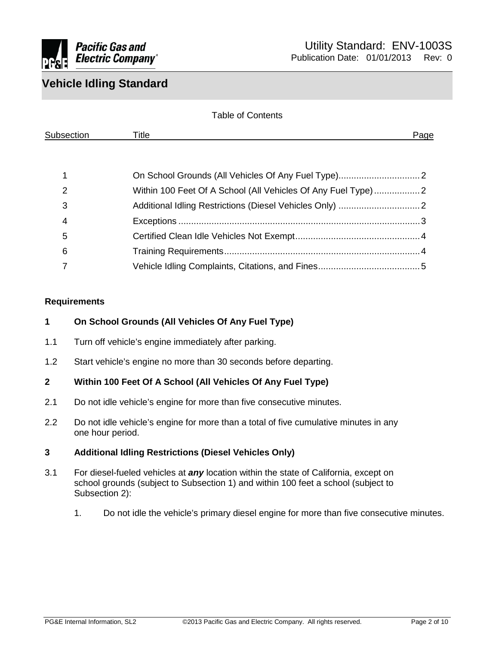

| <b>Table of Contents</b> |                                                              |      |
|--------------------------|--------------------------------------------------------------|------|
| Subsection               | Title                                                        | Page |
|                          |                                                              |      |
|                          |                                                              |      |
| 2                        | Within 100 Feet Of A School (All Vehicles Of Any Fuel Type)2 |      |
| 3                        |                                                              |      |
| 4                        |                                                              |      |
| 5                        |                                                              |      |
| 6                        |                                                              |      |
|                          |                                                              |      |

#### **Requirements**

#### <span id="page-1-0"></span>**1 On School Grounds (All Vehicles Of Any Fuel Type)**

- 1.1 Turn off vehicle's engine immediately after parking.
- <span id="page-1-1"></span>1.2 Start vehicle's engine no more than 30 seconds before departing.

#### **2 Within 100 Feet Of A School (All Vehicles Of Any Fuel Type)**

- 2.1 Do not idle vehicle's engine for more than five consecutive minutes.
- 2.2 Do not idle vehicle's engine for more than a total of five cumulative minutes in any one hour period.

#### <span id="page-1-2"></span>**3 Additional Idling Restrictions (Diesel Vehicles Only)**

- 3.1 For diesel-fueled vehicles at *any* location within the state of California, except on school grounds (subject to Subsection 1) and within 100 feet a school (subject to Subsection 2):
	- 1. Do not idle the vehicle's primary diesel engine for more than five consecutive minutes.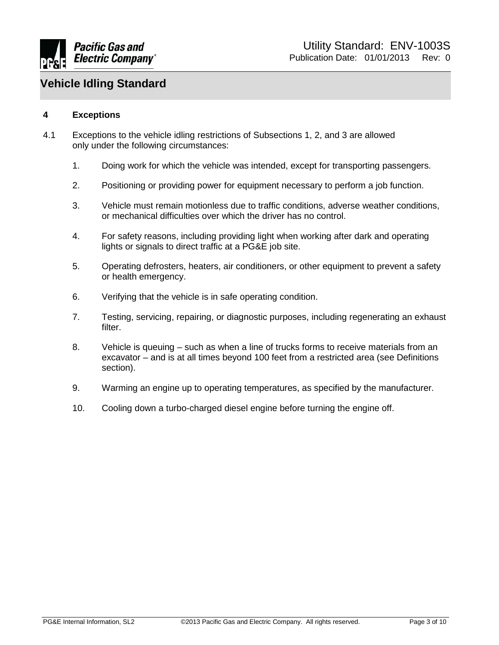

#### <span id="page-2-0"></span>**4 Exceptions**

- 4.1 Exceptions to the vehicle idling restrictions of Subsections 1, 2, and 3 are allowed only under the following circumstances:
	- 1. Doing work for which the vehicle was intended, except for transporting passengers.
	- 2. Positioning or providing power for equipment necessary to perform a job function.
	- 3. Vehicle must remain motionless due to traffic conditions, adverse weather conditions, or mechanical difficulties over which the driver has no control.
	- 4. For safety reasons, including providing light when working after dark and operating lights or signals to direct traffic at a PG&E job site.
	- 5. Operating defrosters, heaters, air conditioners, or other equipment to prevent a safety or health emergency.
	- 6. Verifying that the vehicle is in safe operating condition.
	- 7. Testing, servicing, repairing, or diagnostic purposes, including regenerating an exhaust filter.
	- 8. Vehicle is queuing such as when a line of trucks forms to receive materials from an excavator – and is at all times beyond 100 feet from a restricted area (see Definitions section).
	- 9. Warming an engine up to operating temperatures, as specified by the manufacturer.
	- 10. Cooling down a turbo-charged diesel engine before turning the engine off.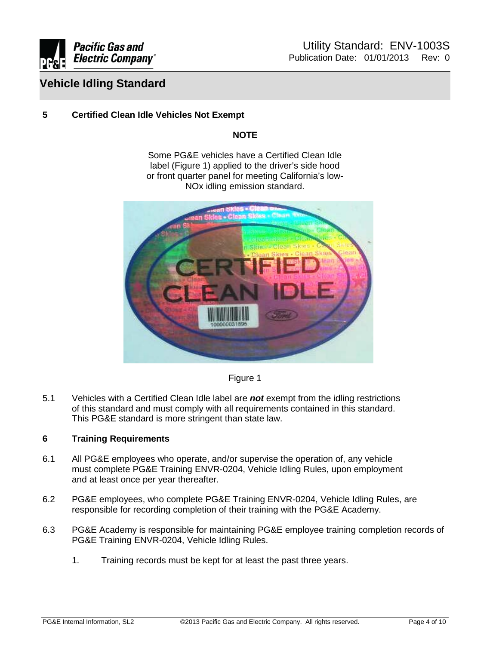

#### <span id="page-3-0"></span>**5 Certified Clean Idle Vehicles Not Exempt**

#### **NOTE**

Some PG&E vehicles have a Certified Clean Idle label (Figure 1) applied to the driver's side hood or front quarter panel for meeting California's low-NOx idling emission standard.



Figure 1

5.1 Vehicles with a Certified Clean Idle label are *not* exempt from the idling restrictions of this standard and must comply with all requirements contained in this standard. This PG&E standard is more stringent than state law.

#### <span id="page-3-1"></span>**6 Training Requirements**

- 6.1 All PG&E employees who operate, and/or supervise the operation of, any vehicle must complete PG&E Training ENVR-0204, Vehicle Idling Rules, upon employment and at least once per year thereafter.
- 6.2 PG&E employees, who complete PG&E Training ENVR-0204, Vehicle Idling Rules, are responsible for recording completion of their training with the PG&E Academy.
- 6.3 PG&E Academy is responsible for maintaining PG&E employee training completion records of PG&E Training ENVR-0204, Vehicle Idling Rules.
	- 1. Training records must be kept for at least the past three years.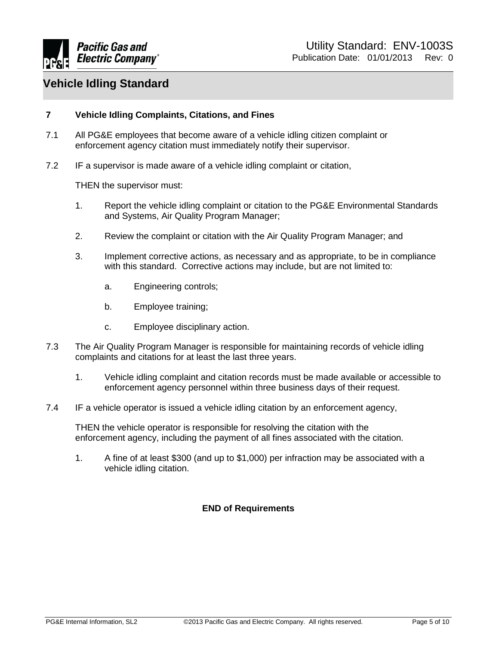

#### <span id="page-4-0"></span>**7 Vehicle Idling Complaints, Citations, and Fines**

- 7.1 All PG&E employees that become aware of a vehicle idling citizen complaint or enforcement agency citation must immediately notify their supervisor.
- 7.2 IF a supervisor is made aware of a vehicle idling complaint or citation,

THEN the supervisor must:

- 1. Report the vehicle idling complaint or citation to the PG&E Environmental Standards and Systems, Air Quality Program Manager;
- 2. Review the complaint or citation with the Air Quality Program Manager; and
- 3. Implement corrective actions, as necessary and as appropriate, to be in compliance with this standard. Corrective actions may include, but are not limited to:
	- a. Engineering controls;
	- b. Employee training;
	- c. Employee disciplinary action.
- 7.3 The Air Quality Program Manager is responsible for maintaining records of vehicle idling complaints and citations for at least the last three years.
	- 1. Vehicle idling complaint and citation records must be made available or accessible to enforcement agency personnel within three business days of their request.
- 7.4 IF a vehicle operator is issued a vehicle idling citation by an enforcement agency,

THEN the vehicle operator is responsible for resolving the citation with the enforcement agency, including the payment of all fines associated with the citation.

1. A fine of at least \$300 (and up to \$1,000) per infraction may be associated with a vehicle idling citation.

#### **END of Requirements**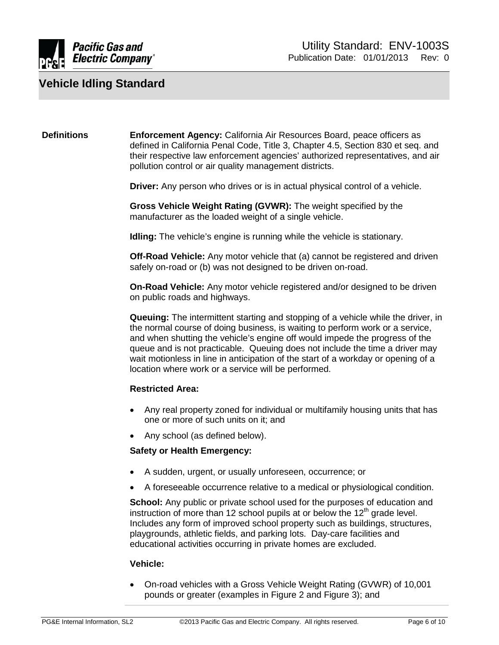

#### **Definitions Enforcement Agency:** California Air Resources Board, peace officers as defined in California Penal Code, Title 3, Chapter 4.5, Section 830 et seq. and their respective law enforcement agencies' authorized representatives, and air pollution control or air quality management districts.

**Driver:** Any person who drives or is in actual physical control of a vehicle.

**Gross Vehicle Weight Rating (GVWR):** The weight specified by the manufacturer as the loaded weight of a single vehicle.

**Idling:** The vehicle's engine is running while the vehicle is stationary.

**Off-Road Vehicle:** Any motor vehicle that (a) cannot be registered and driven safely on-road or (b) was not designed to be driven on-road.

**On-Road Vehicle:** Any motor vehicle registered and/or designed to be driven on public roads and highways.

**Queuing:** The intermittent starting and stopping of a vehicle while the driver, in the normal course of doing business, is waiting to perform work or a service, and when shutting the vehicle's engine off would impede the progress of the queue and is not practicable. Queuing does not include the time a driver may wait motionless in line in anticipation of the start of a workday or opening of a location where work or a service will be performed.

#### **Restricted Area:**

- Any real property zoned for individual or multifamily housing units that has one or more of such units on it; and
- Any school (as defined below).

#### **Safety or Health Emergency:**

- A sudden, urgent, or usually unforeseen, occurrence; or
- A foreseeable occurrence relative to a medical or physiological condition.

**School:** Any public or private school used for the purposes of education and instruction of more than 12 school pupils at or below the  $12<sup>th</sup>$  grade level. Includes any form of improved school property such as buildings, structures, playgrounds, athletic fields, and parking lots. Day-care facilities and educational activities occurring in private homes are excluded.

#### **Vehicle:**

• On-road vehicles with a Gross Vehicle Weight Rating (GVWR) of 10,001 pounds or greater (examples in Figure 2 and Figure 3); and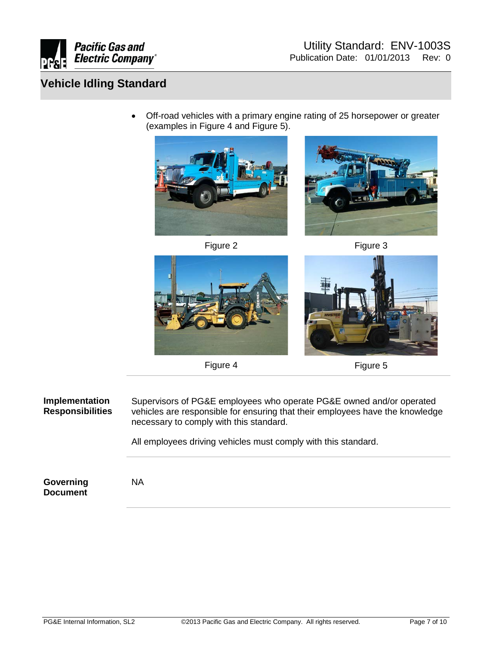

• Off-road vehicles with a primary engine rating of 25 horsepower or greater (examples in Figure 4 and Figure 5).



Figure 2 Figure 3









Figure 4 Figure 5

**Implementation Responsibilities** Supervisors of PG&E employees who operate PG&E owned and/or operated vehicles are responsible for ensuring that their employees have the knowledge necessary to comply with this standard.

All employees driving vehicles must comply with this standard.

**Governing Document**

NA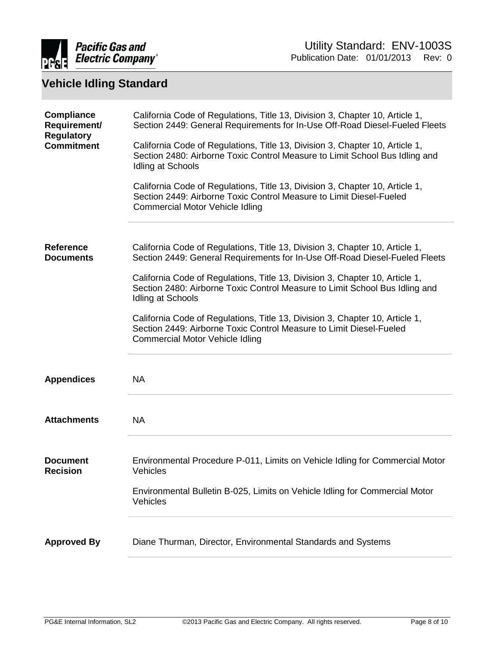

| <b>Compliance</b><br>Requirement/<br><b>Regulatory</b><br><b>Commitment</b> | California Code of Regulations, Title 13, Division 3, Chapter 10, Article 1,<br>Section 2449: General Requirements for In-Use Off-Road Diesel-Fueled Fleets<br>California Code of Regulations, Title 13, Division 3, Chapter 10, Article 1,<br>Section 2480: Airborne Toxic Control Measure to Limit School Bus Idling and<br>Idling at Schools<br>California Code of Regulations, Title 13, Division 3, Chapter 10, Article 1,<br>Section 2449: Airborne Toxic Control Measure to Limit Diesel-Fueled<br>Commercial Motor Vehicle Idling |
|-----------------------------------------------------------------------------|-------------------------------------------------------------------------------------------------------------------------------------------------------------------------------------------------------------------------------------------------------------------------------------------------------------------------------------------------------------------------------------------------------------------------------------------------------------------------------------------------------------------------------------------|
| <b>Reference</b><br><b>Documents</b>                                        | California Code of Regulations, Title 13, Division 3, Chapter 10, Article 1,<br>Section 2449: General Requirements for In-Use Off-Road Diesel-Fueled Fleets<br>California Code of Regulations, Title 13, Division 3, Chapter 10, Article 1,<br>Section 2480: Airborne Toxic Control Measure to Limit School Bus Idling and<br>Idling at Schools<br>California Code of Regulations, Title 13, Division 3, Chapter 10, Article 1,<br>Section 2449: Airborne Toxic Control Measure to Limit Diesel-Fueled<br>Commercial Motor Vehicle Idling |
| <b>Appendices</b>                                                           | <b>NA</b>                                                                                                                                                                                                                                                                                                                                                                                                                                                                                                                                 |
| <b>Attachments</b>                                                          | <b>NA</b>                                                                                                                                                                                                                                                                                                                                                                                                                                                                                                                                 |
| <b>Document</b><br><b>Recision</b>                                          | Environmental Procedure P-011, Limits on Vehicle Idling for Commercial Motor<br>Vehicles<br>Environmental Bulletin B-025, Limits on Vehicle Idling for Commercial Motor<br>Vehicles                                                                                                                                                                                                                                                                                                                                                       |
| <b>Approved By</b>                                                          | Diane Thurman, Director, Environmental Standards and Systems                                                                                                                                                                                                                                                                                                                                                                                                                                                                              |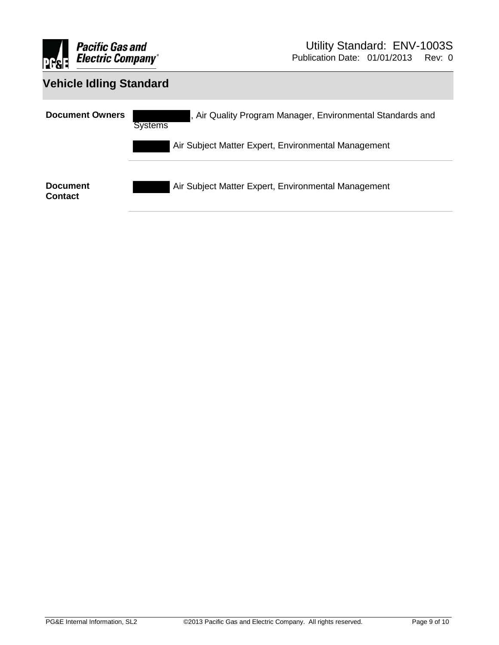

| <b>Vehicle Idling Standard</b>    |                                                                              |  |
|-----------------------------------|------------------------------------------------------------------------------|--|
| <b>Document Owners</b>            | , Air Quality Program Manager, Environmental Standards and<br><b>Systems</b> |  |
|                                   | Air Subject Matter Expert, Environmental Management                          |  |
| <b>Document</b><br><b>Contact</b> | Air Subject Matter Expert, Environmental Management                          |  |